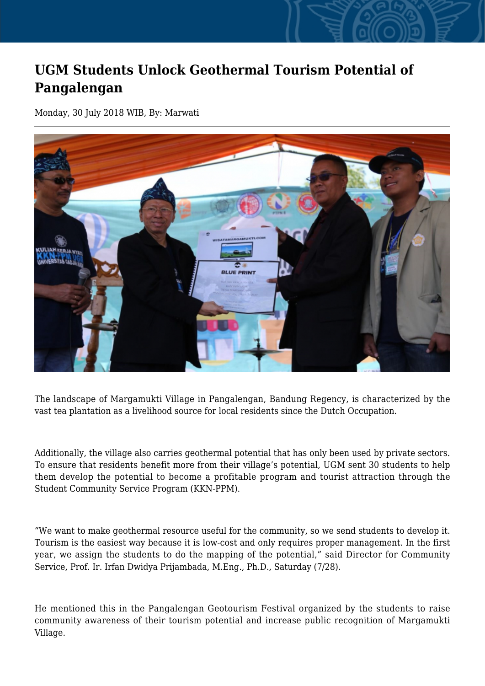## **UGM Students Unlock Geothermal Tourism Potential of Pangalengan**

Monday, 30 July 2018 WIB, By: Marwati



The landscape of Margamukti Village in Pangalengan, Bandung Regency, is characterized by the vast tea plantation as a livelihood source for local residents since the Dutch Occupation.

Additionally, the village also carries geothermal potential that has only been used by private sectors. To ensure that residents benefit more from their village's potential, UGM sent 30 students to help them develop the potential to become a profitable program and tourist attraction through the Student Community Service Program (KKN-PPM).

"We want to make geothermal resource useful for the community, so we send students to develop it. Tourism is the easiest way because it is low-cost and only requires proper management. In the first year, we assign the students to do the mapping of the potential," said Director for Community Service, Prof. Ir. Irfan Dwidya Prijambada, M.Eng., Ph.D., Saturday (7/28).

He mentioned this in the Pangalengan Geotourism Festival organized by the students to raise community awareness of their tourism potential and increase public recognition of Margamukti Village.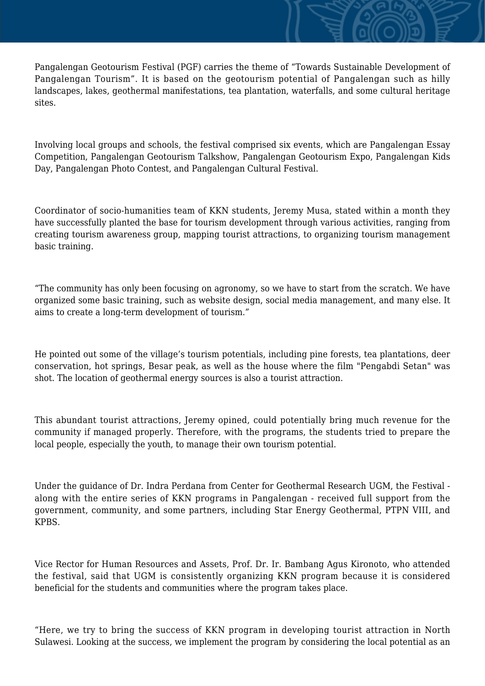Pangalengan Geotourism Festival (PGF) carries the theme of "Towards Sustainable Development of Pangalengan Tourism". It is based on the geotourism potential of Pangalengan such as hilly landscapes, lakes, geothermal manifestations, tea plantation, waterfalls, and some cultural heritage sites.

Involving local groups and schools, the festival comprised six events, which are Pangalengan Essay Competition, Pangalengan Geotourism Talkshow, Pangalengan Geotourism Expo, Pangalengan Kids Day, Pangalengan Photo Contest, and Pangalengan Cultural Festival.

Coordinator of socio-humanities team of KKN students, Jeremy Musa, stated within a month they have successfully planted the base for tourism development through various activities, ranging from creating tourism awareness group, mapping tourist attractions, to organizing tourism management basic training.

"The community has only been focusing on agronomy, so we have to start from the scratch. We have organized some basic training, such as website design, social media management, and many else. It aims to create a long-term development of tourism."

He pointed out some of the village's tourism potentials, including pine forests, tea plantations, deer conservation, hot springs, Besar peak, as well as the house where the film "Pengabdi Setan" was shot. The location of geothermal energy sources is also a tourist attraction.

This abundant tourist attractions, Jeremy opined, could potentially bring much revenue for the community if managed properly. Therefore, with the programs, the students tried to prepare the local people, especially the youth, to manage their own tourism potential.

Under the guidance of Dr. Indra Perdana from Center for Geothermal Research UGM, the Festival along with the entire series of KKN programs in Pangalengan - received full support from the government, community, and some partners, including Star Energy Geothermal, PTPN VIII, and KPBS.

Vice Rector for Human Resources and Assets, Prof. Dr. Ir. Bambang Agus Kironoto, who attended the festival, said that UGM is consistently organizing KKN program because it is considered beneficial for the students and communities where the program takes place.

"Here, we try to bring the success of KKN program in developing tourist attraction in North Sulawesi. Looking at the success, we implement the program by considering the local potential as an